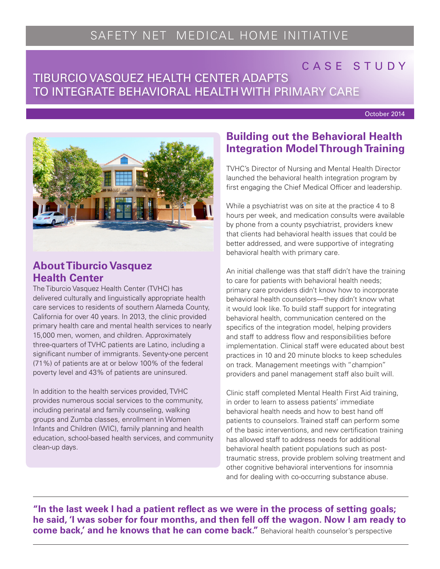# SAFETY NET MEDICAL HOME INITIATIVE

# CASE STUDY

# TIBURCIO VASQUEZ HEALTH CENTER ADAPTS NA TRI TO INTEGRATE BEHAVIORAL HEALTH WITH PRIMARY CARE

October 2014



#### **About Tiburcio Vasquez Health Center**

The Tiburcio Vasquez Health Center (TVHC) has delivered culturally and linguistically appropriate health care services to residents of southern Alameda County, California for over 40 years. In 2013, the clinic provided primary health care and mental health services to nearly 15,000 men, women, and children. Approximately three-quarters of TVHC patients are Latino, including a significant number of immigrants. Seventy-one percent (71%) of patients are at or below 100% of the federal poverty level and 43% of patients are uninsured.

In addition to the health services provided, TVHC provides numerous social services to the community, including perinatal and family counseling, walking groups and Zumba classes, enrollment in Women Infants and Children (WIC), family planning and health education, school-based health services, and community clean-up days.

## **Building out the Behavioral Health Integration Model Through Training**

TVHC's Director of Nursing and Mental Health Director launched the behavioral health integration program by first engaging the Chief Medical Officer and leadership.

While a psychiatrist was on site at the practice 4 to 8 hours per week, and medication consults were available by phone from a county psychiatrist, providers knew that clients had behavioral health issues that could be better addressed, and were supportive of integrating behavioral health with primary care.

An initial challenge was that staff didn't have the training to care for patients with behavioral health needs; primary care providers didn't know how to incorporate behavioral health counselors—they didn't know what it would look like. To build staff support for integrating behavioral health, communication centered on the specifics of the integration model, helping providers and staff to address flow and responsibilities before implementation. Clinical staff were educated about best practices in 10 and 20 minute blocks to keep schedules on track. Management meetings with "champion" providers and panel management staff also built will.

Clinic staff completed Mental Health First Aid training, in order to learn to assess patients' immediate behavioral health needs and how to best hand off patients to counselors. Trained staff can perform some of the basic interventions, and new certification training has allowed staff to address needs for additional behavioral health patient populations such as posttraumatic stress, provide problem solving treatment and other cognitive behavioral interventions for insomnia and for dealing with co-occurring substance abuse.

**"In the last week I had a patient reflect as we were in the process of setting goals; he said, 'I was sober for four months, and then fell off the wagon. Now I am ready to come back,' and he knows that he can come back."** Behavioral health counselor's perspective